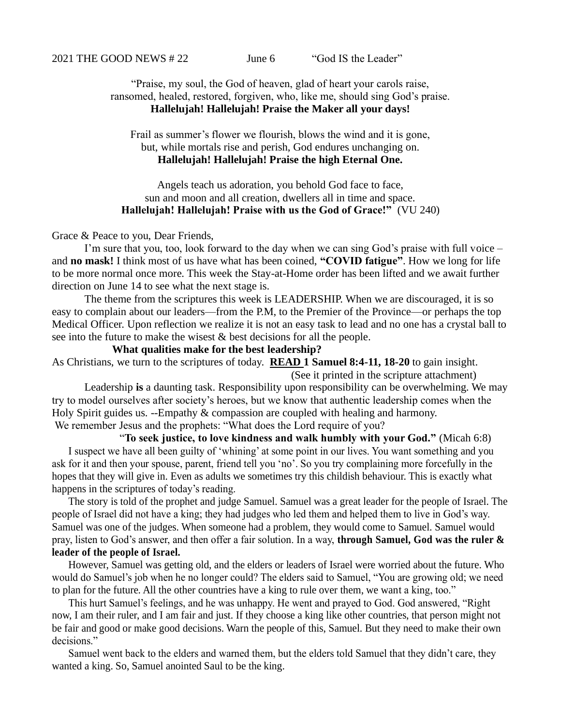2021 THE GOOD NEWS # 22 June 6 "God IS the Leader"

"Praise, my soul, the God of heaven, glad of heart your carols raise, ransomed, healed, restored, forgiven, who, like me, should sing God's praise. **Hallelujah! Hallelujah! Praise the Maker all your days!**

Frail as summer's flower we flourish, blows the wind and it is gone, but, while mortals rise and perish, God endures unchanging on. **Hallelujah! Hallelujah! Praise the high Eternal One.**

Angels teach us adoration, you behold God face to face, sun and moon and all creation, dwellers all in time and space. **Hallelujah! Hallelujah! Praise with us the God of Grace!"** (VU 240)

## Grace & Peace to you, Dear Friends,

I'm sure that you, too, look forward to the day when we can sing God's praise with full voice – and **no mask!** I think most of us have what has been coined, **"COVID fatigue"**. How we long for life to be more normal once more. This week the Stay-at-Home order has been lifted and we await further direction on June 14 to see what the next stage is.

The theme from the scriptures this week is LEADERSHIP. When we are discouraged, it is so easy to complain about our leaders—from the P.M, to the Premier of the Province—or perhaps the top Medical Officer. Upon reflection we realize it is not an easy task to lead and no one has a crystal ball to see into the future to make the wisest & best decisions for all the people.

**What qualities make for the best leadership?** 

As Christians, we turn to the scriptures of today. **READ 1 Samuel 8:4-11, 18-20** to gain insight.

 (See it printed in the scripture attachment) Leadership **is** a daunting task. Responsibility upon responsibility can be overwhelming. We may try to model ourselves after society's heroes, but we know that authentic leadership comes when the Holy Spirit guides us. --Empathy & compassion are coupled with healing and harmony. We remember Jesus and the prophets: "What does the Lord require of you?

"**To seek justice, to love kindness and walk humbly with your God."** (Micah 6:8) I suspect we have all been guilty of 'whining' at some point in our lives. You want something and you ask for it and then your spouse, parent, friend tell you 'no'. So you try complaining more forcefully in the hopes that they will give in. Even as adults we sometimes try this childish behaviour. This is exactly what happens in the scriptures of today's reading.

The story is told of the prophet and judge Samuel. Samuel was a great leader for the people of Israel. The people of Israel did not have a king; they had judges who led them and helped them to live in God's way. Samuel was one of the judges. When someone had a problem, they would come to Samuel. Samuel would pray, listen to God's answer, and then offer a fair solution. In a way, **through Samuel, God was the ruler & leader of the people of Israel.** 

However, Samuel was getting old, and the elders or leaders of Israel were worried about the future. Who would do Samuel's job when he no longer could? The elders said to Samuel, "You are growing old; we need to plan for the future. All the other countries have a king to rule over them, we want a king, too."

This hurt Samuel's feelings, and he was unhappy. He went and prayed to God. God answered, "Right now, I am their ruler, and I am fair and just. If they choose a king like other countries, that person might not be fair and good or make good decisions. Warn the people of this, Samuel. But they need to make their own decisions."

Samuel went back to the elders and warned them, but the elders told Samuel that they didn't care, they wanted a king. So, Samuel anointed Saul to be the king.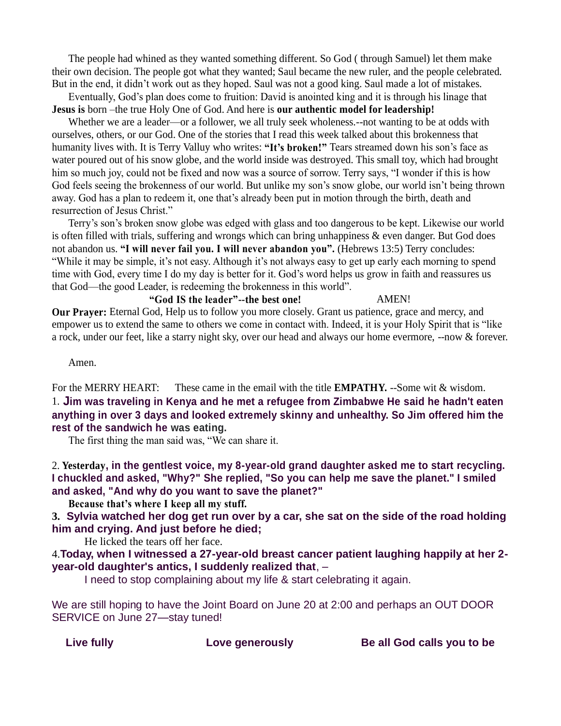The people had whined as they wanted something different. So God ( through Samuel) let them make their own decision. The people got what they wanted; Saul became the new ruler, and the people celebrated. But in the end, it didn't work out as they hoped. Saul was not a good king. Saul made a lot of mistakes.

Eventually, God's plan does come to fruition: David is anointed king and it is through his linage that **Jesus is** born –the true Holy One of God. And here is **our authentic model for leadership!**

Whether we are a leader—or a follower, we all truly seek wholeness.--not wanting to be at odds with ourselves, others, or our God. One of the stories that I read this week talked about this brokenness that humanity lives with. It is Terry Valluy who writes: **"It's broken!"** Tears streamed down his son's face as water poured out of his snow globe, and the world inside was destroyed. This small toy, which had brought him so much joy, could not be fixed and now was a source of sorrow. Terry says, "I wonder if this is how God feels seeing the brokenness of our world. But unlike my son's snow globe, our world isn't being thrown away. God has a plan to redeem it, one that's already been put in motion through the birth, death and resurrection of Jesus Christ."

Terry's son's broken snow globe was edged with glass and too dangerous to be kept. Likewise our world is often filled with trials, suffering and wrongs which can bring unhappiness & even danger. But God does not abandon us. **"I will never fail you. I will never abandon you".** (Hebrews 13:5) Terry concludes: "While it may be simple, it's not easy. Although it's not always easy to get up early each morning to spend time with God, every time I do my day is better for it. God's word helps us grow in faith and reassures us that God—the good Leader, is redeeming the brokenness in this world".

## **"God IS the leader"--the best one!** AMEN!

**Our Prayer:** Eternal God, Help us to follow you more closely. Grant us patience, grace and mercy, and empower us to extend the same to others we come in contact with. Indeed, it is your Holy Spirit that is "like a rock, under our feet, like a starry night sky, over our head and always our home evermore, --now & forever.

## Amen.

For the MERRY HEART: These came in the email with the title **EMPATHY.** --Some wit & wisdom. 1. **Jim was traveling in Kenya and he met a refugee from Zimbabwe He said he hadn't eaten anything in over 3 days and looked extremely skinny and unhealthy. So Jim offered him the rest of the sandwich he was eating.**

The first thing the man said was, "We can share it.

2. **Yesterday, in the gentlest voice, my 8-year-old grand daughter asked me to start recycling. I chuckled and asked, "Why?" She replied, "So you can help me save the planet." I smiled and asked, "And why do you want to save the planet?"**

**Because that's where I keep all my stuff.**

**3. Sylvia watched her dog get run over by a car, she sat on the side of the road holding him and crying. And just before he died;**

He licked the tears off her face.

4.**Today, when I witnessed a 27-year-old breast cancer patient laughing happily at her 2 year-old daughter's antics, I suddenly realized that**, –

I need to stop complaining about my life & start celebrating it again.

We are still hoping to have the Joint Board on June 20 at 2:00 and perhaps an OUT DOOR SERVICE on June 27—stay tuned!

Live fully **Love generously** Be all God calls you to be